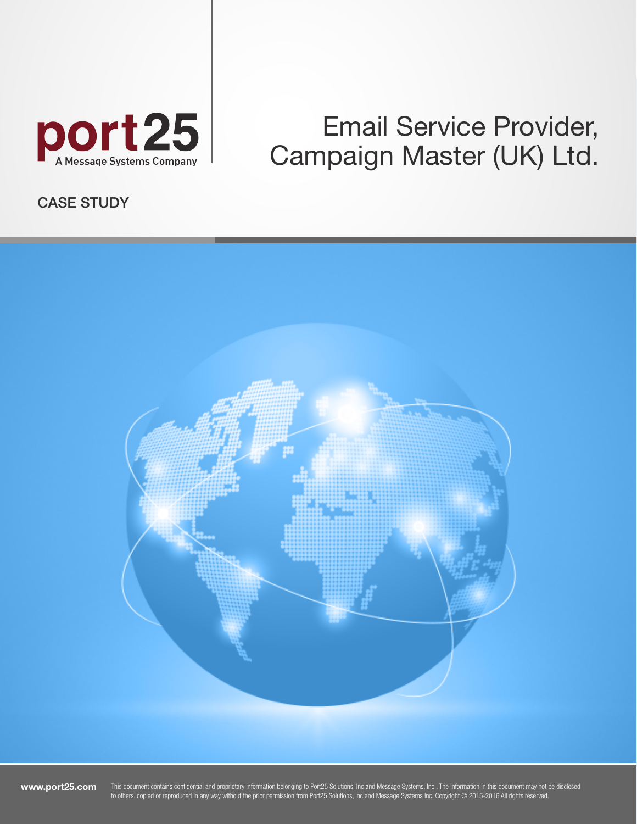

# Email Service Provider, Campaign Master (UK) Ltd.

CASE STUDY



www.port25.com

This document contains confidential and proprietary information belonging to Port25 Solutions, Inc and Message Systems, Inc.. The information in this document may not be disclosed to others, copied or reproduced in any way without the prior permission from Port25 Solutions, Inc and Message Systems Inc. Copyright © 2015-2016 All rights reserved.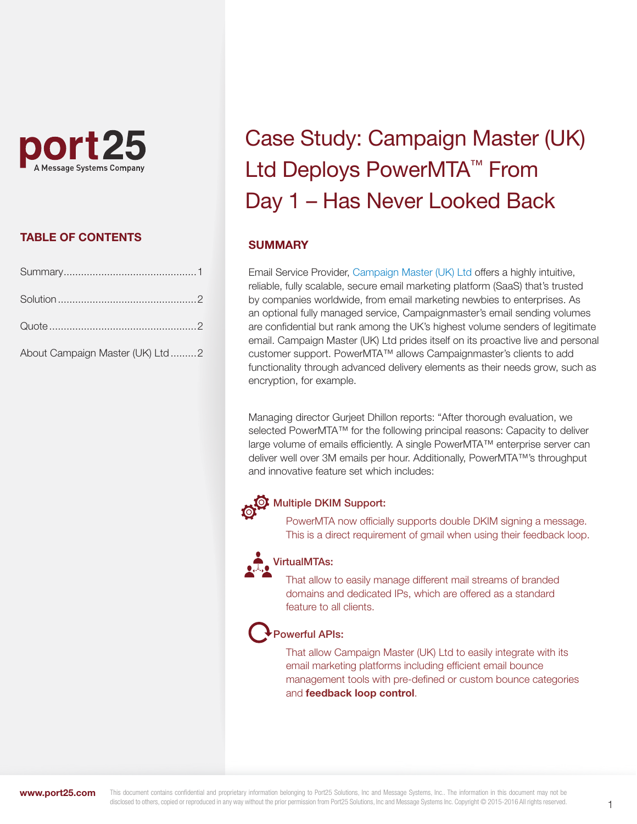

#### TABLE OF CONTENTS

| About Campaign Master (UK) Ltd 2 |  |
|----------------------------------|--|

# Case Study: Campaign Master (UK) Ltd Deploys PowerMTA™ From Day 1 – Has Never Looked Back

#### **SUMMARY**

Email Service Provider[, Campaign Master \(UK\) Ltd o](http://www.campaignmaster.co.uk/)ffers a highly intuitive, reliable, fully scalable, secure email marketing platform (SaaS) that's trusted by companies worldwide, from email marketing newbies to enterprises. As an optional fully managed service, Campaignmaster's email sending volumes are confidential but rank among the UK's highest volume senders of legitimate email. Campaign Master (UK) Ltd prides itself on its proactive live and personal customer support. PowerMTA™ allows Campaignmaster's clients to add functionality through advanced delivery elements as their needs grow, such as encryption, for example.

Managing director Gurjeet Dhillon reports: "After thorough evaluation, we selected PowerMTA™ for the following principal reasons: Capacity to deliver large volume of emails efficiently. A single PowerMTA™ enterprise server can deliver well over 3M emails per hour. Additionally, PowerMTA™'s throughput and innovative feature set which includes:

## **OF** Multiple DKIM Support:

 PowerMTA now officially supports double DKIM signing a message. This is a direct requirement of gmail when using their feedback loop.

#### VirtualMTAs:

 That allow to easily manage different mail streams of branded domains and dedicated IPs, which are offered as a standard feature to all clients.

### Powerful APIs:

 That allow Campaign Master (UK) Ltd to easily integrate with its email marketing platforms including efficient email bounce management tools with pre-defined or custom bounce categories and feedback loop control.

www.port25.com